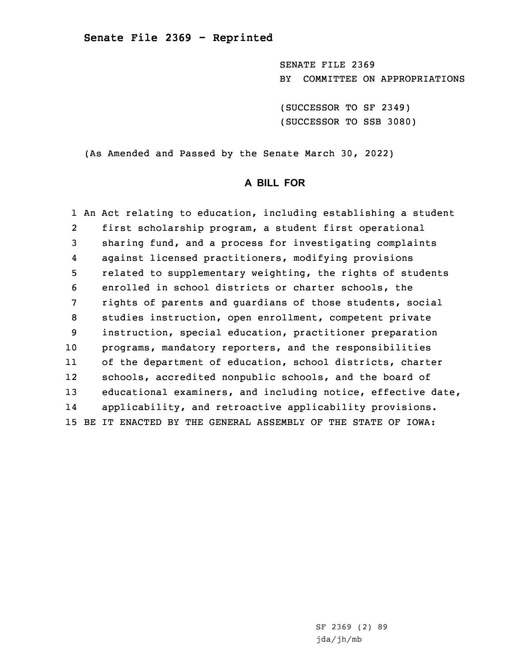SENATE FILE 2369 BY COMMITTEE ON APPROPRIATIONS

(SUCCESSOR TO SF 2349) (SUCCESSOR TO SSB 3080)

(As Amended and Passed by the Senate March 30, 2022)

# **A BILL FOR**

1 An Act relating to education, including establishing <sup>a</sup> student 2 first scholarship program, <sup>a</sup> student first operational 3 sharing fund, and <sup>a</sup> process for investigating complaints 4 against licensed practitioners, modifying provisions 5 related to supplementary weighting, the rights of students 6 enrolled in school districts or charter schools, the 7 rights of parents and guardians of those students, social 8 studies instruction, open enrollment, competent private 9 instruction, special education, practitioner preparation 10 programs, mandatory reporters, and the responsibilities 11 of the department of education, school districts, charter 12 schools, accredited nonpublic schools, and the board of 13 educational examiners, and including notice, effective date, 14 applicability, and retroactive applicability provisions. 15 BE IT ENACTED BY THE GENERAL ASSEMBLY OF THE STATE OF IOWA: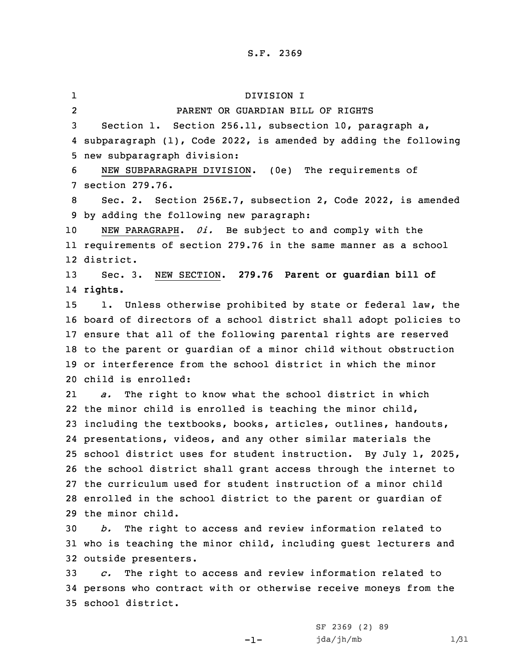1 DIVISION I 2 PARENT OR GUARDIAN BILL OF RIGHTS Section 1. Section 256.11, subsection 10, paragraph a, subparagraph (1), Code 2022, is amended by adding the following new subparagraph division: NEW SUBPARAGRAPH DIVISION. (0e) The requirements of section 279.76. Sec. 2. Section 256E.7, subsection 2, Code 2022, is amended by adding the following new paragraph: NEW PARAGRAPH. *0i.* Be subject to and comply with the requirements of section 279.76 in the same manner as <sup>a</sup> school district. Sec. 3. NEW SECTION. **279.76 Parent or guardian bill of** 14 **rights.** 1. Unless otherwise prohibited by state or federal law, the board of directors of <sup>a</sup> school district shall adopt policies to ensure that all of the following parental rights are reserved to the parent or guardian of <sup>a</sup> minor child without obstruction or interference from the school district in which the minor child is enrolled: 21 *a.* The right to know what the school district in which the minor child is enrolled is teaching the minor child, including the textbooks, books, articles, outlines, handouts, presentations, videos, and any other similar materials the school district uses for student instruction. By July 1, 2025, the school district shall grant access through the internet to the curriculum used for student instruction of <sup>a</sup> minor child enrolled in the school district to the parent or guardian of the minor child. *b.* The right to access and review information related to who is teaching the minor child, including guest lecturers and outside presenters. *c.* The right to access and review information related to persons who contract with or otherwise receive moneys from the school district.

-1-

SF 2369 (2) 89 jda/jh/mb 1/31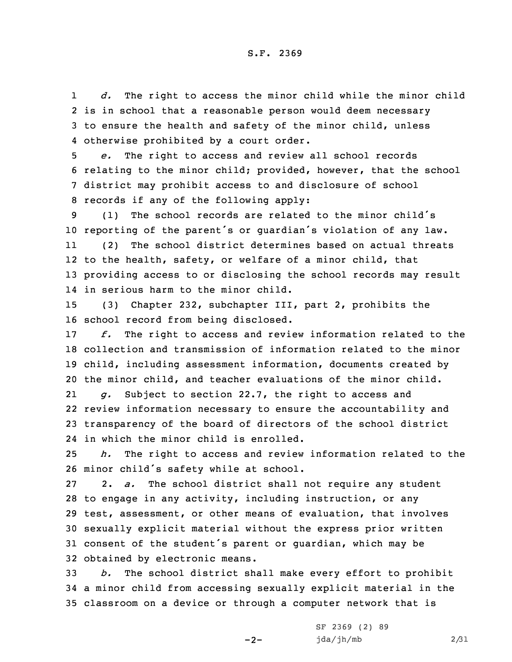1 *d.* The right to access the minor child while the minor child 2 is in school that <sup>a</sup> reasonable person would deem necessary 3 to ensure the health and safety of the minor child, unless 4 otherwise prohibited by <sup>a</sup> court order.

 *e.* The right to access and review all school records relating to the minor child; provided, however, that the school district may prohibit access to and disclosure of school records if any of the following apply:

9 (1) The school records are related to the minor child's <sup>10</sup> reporting of the parent's or guardian's violation of any law.

11 (2) The school district determines based on actual threats 12 to the health, safety, or welfare of <sup>a</sup> minor child, that 13 providing access to or disclosing the school records may result 14 in serious harm to the minor child.

15 (3) Chapter 232, subchapter III, part 2, prohibits the 16 school record from being disclosed.

 *f.* The right to access and review information related to the collection and transmission of information related to the minor child, including assessment information, documents created by the minor child, and teacher evaluations of the minor child.

21 *g.* Subject to section 22.7, the right to access and 22 review information necessary to ensure the accountability and 23 transparency of the board of directors of the school district 24 in which the minor child is enrolled.

25 *h.* The right to access and review information related to the <sup>26</sup> minor child's safety while at school.

 2. *a.* The school district shall not require any student to engage in any activity, including instruction, or any test, assessment, or other means of evaluation, that involves sexually explicit material without the express prior written consent of the student's parent or guardian, which may be obtained by electronic means.

33 *b.* The school district shall make every effort to prohibit 34 <sup>a</sup> minor child from accessing sexually explicit material in the 35 classroom on <sup>a</sup> device or through <sup>a</sup> computer network that is

-2-

SF 2369 (2) 89 jda/jh/mb 2/31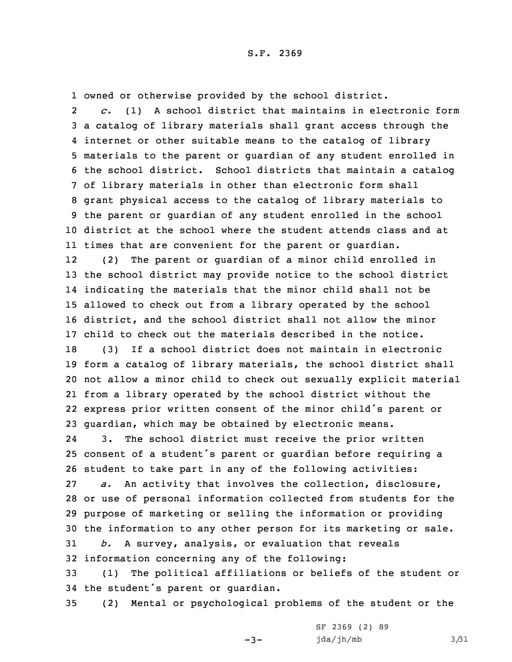1 owned or otherwise provided by the school district.

2 *c.* (1) <sup>A</sup> school district that maintains in electronic form <sup>a</sup> catalog of library materials shall grant access through the internet or other suitable means to the catalog of library materials to the parent or guardian of any student enrolled in the school district. School districts that maintain <sup>a</sup> catalog of library materials in other than electronic form shall grant physical access to the catalog of library materials to the parent or guardian of any student enrolled in the school district at the school where the student attends class and at times that are convenient for the parent or guardian.

12 (2) The parent or guardian of <sup>a</sup> minor child enrolled in the school district may provide notice to the school district indicating the materials that the minor child shall not be allowed to check out from <sup>a</sup> library operated by the school district, and the school district shall not allow the minor child to check out the materials described in the notice.

 (3) If <sup>a</sup> school district does not maintain in electronic form <sup>a</sup> catalog of library materials, the school district shall not allow <sup>a</sup> minor child to check out sexually explicit material from <sup>a</sup> library operated by the school district without the express prior written consent of the minor child's parent or guardian, which may be obtained by electronic means.

24 3. The school district must receive the prior written consent of <sup>a</sup> student's parent or guardian before requiring <sup>a</sup> student to take part in any of the following activities: *a.* An activity that involves the collection, disclosure, or use of personal information collected from students for the purpose of marketing or selling the information or providing the information to any other person for its marketing or sale. *b.* <sup>A</sup> survey, analysis, or evaluation that reveals information concerning any of the following:

33 (1) The political affiliations or beliefs of the student or <sup>34</sup> the student's parent or guardian.

35 (2) Mental or psychological problems of the student or the

 $-3-$ 

SF 2369 (2) 89  $jda/jh/mb$   $3/31$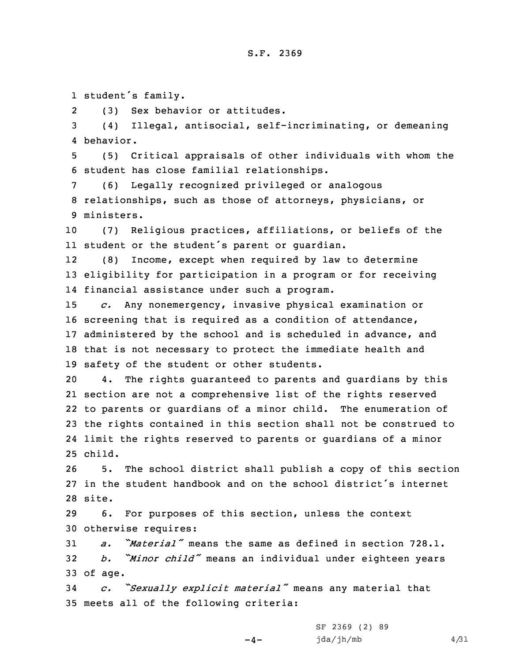1 student's family.

2(3) Sex behavior or attitudes.

3 (4) Illegal, antisocial, self-incriminating, or demeaning 4 behavior.

5 (5) Critical appraisals of other individuals with whom the 6 student has close familial relationships.

7 (6) Legally recognized privileged or analogous 8 relationships, such as those of attorneys, physicians, or 9 ministers.

10 (7) Religious practices, affiliations, or beliefs of the 11 student or the student's parent or guardian.

12 (8) Income, except when required by law to determine 13 eligibility for participation in <sup>a</sup> program or for receiving 14 financial assistance under such <sup>a</sup> program.

 *c.* Any nonemergency, invasive physical examination or screening that is required as <sup>a</sup> condition of attendance, 17 administered by the school and is scheduled in advance, and that is not necessary to protect the immediate health and safety of the student or other students.

 4. The rights guaranteed to parents and guardians by this section are not <sup>a</sup> comprehensive list of the rights reserved to parents or guardians of <sup>a</sup> minor child. The enumeration of the rights contained in this section shall not be construed to limit the rights reserved to parents or guardians of <sup>a</sup> minor 25 child.

26 5. The school district shall publish <sup>a</sup> copy of this section 27 in the student handbook and on the school district's internet 28 site.

29 6. For purposes of this section, unless the context 30 otherwise requires:

31 *a. "Material"* means the same as defined in section 728.1. <sup>32</sup> *b. "Minor child"* means an individual under eighteen years 33 of age.

<sup>34</sup> *c. "Sexually explicit material"* means any material that 35 meets all of the following criteria:

 $-4-$ 

SF 2369 (2) 89  $jda/jh/mb$   $4/31$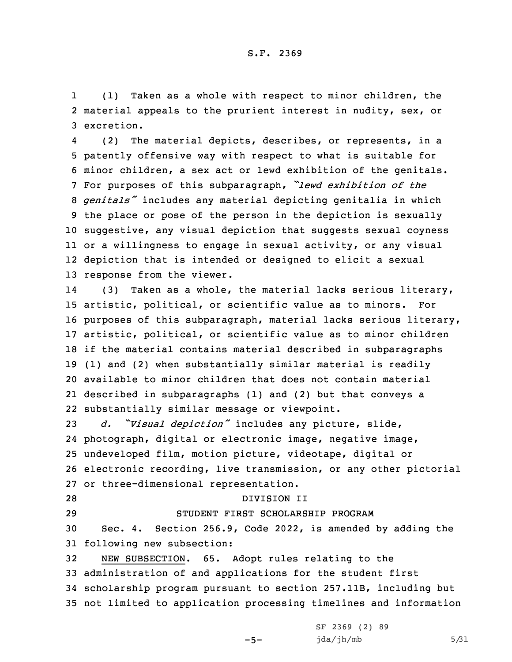1 (1) Taken as <sup>a</sup> whole with respect to minor children, the 2 material appeals to the prurient interest in nudity, sex, or 3 excretion.

4 (2) The material depicts, describes, or represents, in <sup>a</sup> patently offensive way with respect to what is suitable for minor children, <sup>a</sup> sex act or lewd exhibition of the genitals. For purposes of this subparagraph, *"lewd exhibition of the genitals"* includes any material depicting genitalia in which the place or pose of the person in the depiction is sexually suggestive, any visual depiction that suggests sexual coyness or <sup>a</sup> willingness to engage in sexual activity, or any visual depiction that is intended or designed to elicit <sup>a</sup> sexual response from the viewer.

14 (3) Taken as <sup>a</sup> whole, the material lacks serious literary, artistic, political, or scientific value as to minors. For purposes of this subparagraph, material lacks serious literary, artistic, political, or scientific value as to minor children if the material contains material described in subparagraphs (1) and (2) when substantially similar material is readily available to minor children that does not contain material described in subparagraphs (1) and (2) but that conveys <sup>a</sup> substantially similar message or viewpoint.

 *d. "Visual depiction"* includes any picture, slide, photograph, digital or electronic image, negative image, undeveloped film, motion picture, videotape, digital or electronic recording, live transmission, or any other pictorial or three-dimensional representation.

## 28 DIVISION II

29 STUDENT FIRST SCHOLARSHIP PROGRAM

30 Sec. 4. Section 256.9, Code 2022, is amended by adding the 31 following new subsection:

 NEW SUBSECTION. 65. Adopt rules relating to the administration of and applications for the student first scholarship program pursuant to section 257.11B, including but not limited to application processing timelines and information

 $-5-$ 

SF 2369 (2) 89  $jda/jh/mb$  5/31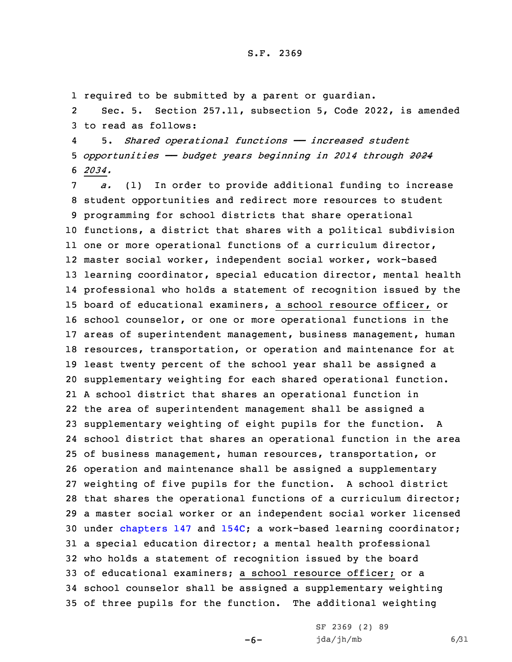1 required to be submitted by <sup>a</sup> parent or guardian.

2 Sec. 5. Section 257.11, subsection 5, Code 2022, is amended 3 to read as follows:

4 5. *Shared operational functions —— increased student* 5 *opportunities —— budget years beginning in 2014 through 2024* 6 *2034.*

 *a.* (1) In order to provide additional funding to increase student opportunities and redirect more resources to student programming for school districts that share operational functions, <sup>a</sup> district that shares with <sup>a</sup> political subdivision one or more operational functions of <sup>a</sup> curriculum director, master social worker, independent social worker, work-based learning coordinator, special education director, mental health professional who holds <sup>a</sup> statement of recognition issued by the board of educational examiners, <sup>a</sup> school resource officer, or school counselor, or one or more operational functions in the areas of superintendent management, business management, human resources, transportation, or operation and maintenance for at least twenty percent of the school year shall be assigned <sup>a</sup> supplementary weighting for each shared operational function. <sup>A</sup> school district that shares an operational function in the area of superintendent management shall be assigned <sup>a</sup> supplementary weighting of eight pupils for the function. <sup>A</sup> school district that shares an operational function in the area of business management, human resources, transportation, or operation and maintenance shall be assigned <sup>a</sup> supplementary weighting of five pupils for the function. <sup>A</sup> school district that shares the operational functions of <sup>a</sup> curriculum director; <sup>a</sup> master social worker or an independent social worker licensed under [chapters](https://www.legis.iowa.gov/docs/code/2022/147.pdf) 147 and [154C](https://www.legis.iowa.gov/docs/code/2022/154C.pdf); <sup>a</sup> work-based learning coordinator; <sup>a</sup> special education director; <sup>a</sup> mental health professional who holds <sup>a</sup> statement of recognition issued by the board of educational examiners; <sup>a</sup> school resource officer; or <sup>a</sup> school counselor shall be assigned <sup>a</sup> supplementary weighting of three pupils for the function. The additional weighting

-6-

SF 2369 (2) 89  $jda/jh/mb$  6/31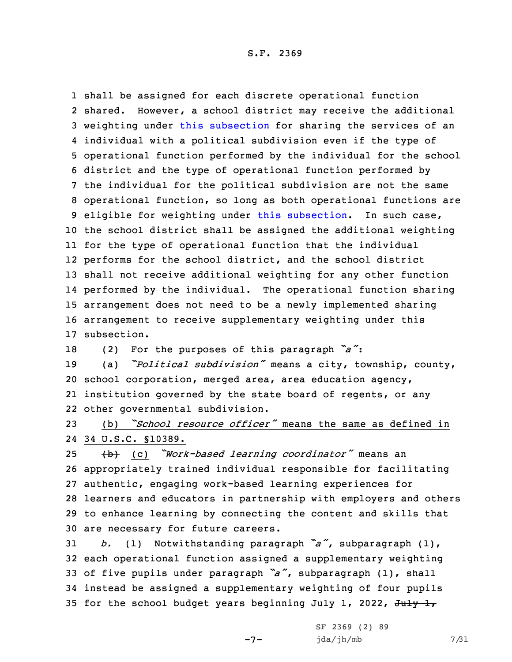shall be assigned for each discrete operational function shared. However, <sup>a</sup> school district may receive the additional weighting under this [subsection](https://www.legis.iowa.gov/docs/code/2022/257.11.pdf) for sharing the services of an individual with <sup>a</sup> political subdivision even if the type of operational function performed by the individual for the school district and the type of operational function performed by the individual for the political subdivision are not the same operational function, so long as both operational functions are eligible for weighting under this [subsection](https://www.legis.iowa.gov/docs/code/2022/257.11.pdf). In such case, the school district shall be assigned the additional weighting for the type of operational function that the individual performs for the school district, and the school district shall not receive additional weighting for any other function performed by the individual. The operational function sharing arrangement does not need to be <sup>a</sup> newly implemented sharing arrangement to receive supplementary weighting under this subsection.

<sup>18</sup> (2) For the purposes of this paragraph *"a"*:

 (a) *"Political subdivision"* means <sup>a</sup> city, township, county, school corporation, merged area, area education agency, institution governed by the state board of regents, or any other governmental subdivision.

23 (b) *"School resource officer"* means the same as defined in 24 34 U.S.C. §10389.

 (b) (c) *"Work-based learning coordinator"* means an appropriately trained individual responsible for facilitating authentic, engaging work-based learning experiences for learners and educators in partnership with employers and others to enhance learning by connecting the content and skills that are necessary for future careers.

 *b.* (1) Notwithstanding paragraph *"a"*, subparagraph (1), each operational function assigned <sup>a</sup> supplementary weighting of five pupils under paragraph *"a"*, subparagraph (1), shall instead be assigned <sup>a</sup> supplementary weighting of four pupils 35 for the school budget years beginning July 1, 2022,  $J^2 + J^2$ 

-7-

SF 2369 (2) 89 jda/jh/mb 7/31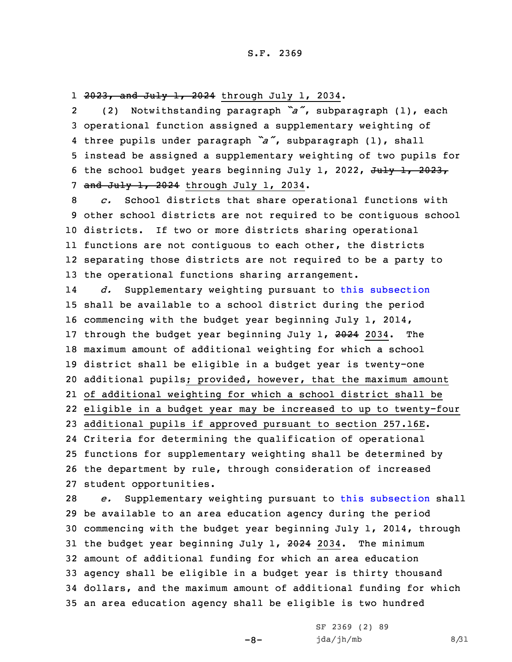1 <del>2023, and July 1, 2024</del> through July 1, 2034.

2 (2) Notwithstanding paragraph *"a"*, subparagraph (1), each 3 operational function assigned <sup>a</sup> supplementary weighting of 4 three pupils under paragraph *"a"*, subparagraph (1), shall 5 instead be assigned <sup>a</sup> supplementary weighting of two pupils for 6 the school budget years beginning July 1, 2022,  $\frac{1}{1}$ ,  $\frac{1}{2}$ 7 and July 1, 2024 through July 1, 2034.

 *c.* School districts that share operational functions with other school districts are not required to be contiguous school districts. If two or more districts sharing operational functions are not contiguous to each other, the districts separating those districts are not required to be <sup>a</sup> party to 13 the operational functions sharing arrangement.

14 *d.* Supplementary weighting pursuant to this [subsection](https://www.legis.iowa.gov/docs/code/2022/257.11.pdf) shall be available to <sup>a</sup> school district during the period commencing with the budget year beginning July 1, 2014, 17 through the budget year beginning July 1, 2024 2034. The maximum amount of additional weighting for which <sup>a</sup> school district shall be eligible in <sup>a</sup> budget year is twenty-one additional pupils; provided, however, that the maximum amount of additional weighting for which <sup>a</sup> school district shall be eligible in <sup>a</sup> budget year may be increased to up to twenty-four additional pupils if approved pursuant to section 257.16E. Criteria for determining the qualification of operational functions for supplementary weighting shall be determined by the department by rule, through consideration of increased student opportunities.

 *e.* Supplementary weighting pursuant to this [subsection](https://www.legis.iowa.gov/docs/code/2022/257.11.pdf) shall be available to an area education agency during the period commencing with the budget year beginning July 1, 2014, through 31 the budget year beginning July 1, 2024 2034. The minimum amount of additional funding for which an area education agency shall be eligible in <sup>a</sup> budget year is thirty thousand dollars, and the maximum amount of additional funding for which an area education agency shall be eligible is two hundred

 $-8-$ 

SF 2369 (2) 89  $jda/jh/mb$  8/31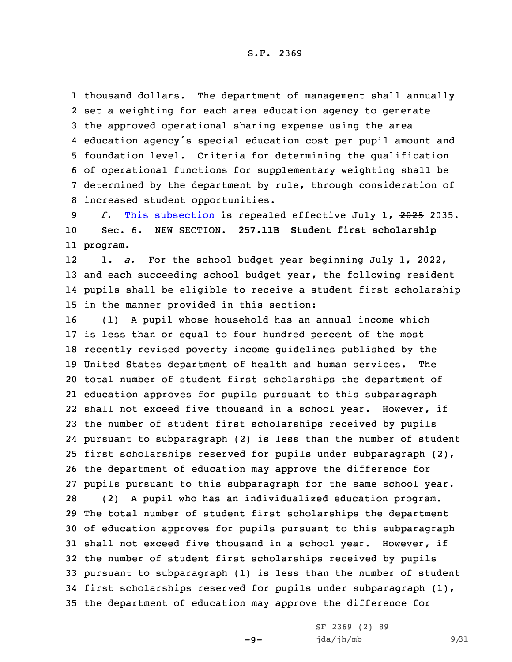thousand dollars. The department of management shall annually set <sup>a</sup> weighting for each area education agency to generate the approved operational sharing expense using the area education agency's special education cost per pupil amount and foundation level. Criteria for determining the qualification of operational functions for supplementary weighting shall be determined by the department by rule, through consideration of increased student opportunities.

9 *f.* This [subsection](https://www.legis.iowa.gov/docs/code/2022/257.11.pdf) is repealed effective July 1, 2025 2035. 10 Sec. 6. NEW SECTION. **257.11B Student first scholarship** 11 **program.**

12 1. *a.* For the school budget year beginning July 1, 2022, 13 and each succeeding school budget year, the following resident 14 pupils shall be eligible to receive <sup>a</sup> student first scholarship 15 in the manner provided in this section:

 (1) <sup>A</sup> pupil whose household has an annual income which is less than or equal to four hundred percent of the most recently revised poverty income guidelines published by the United States department of health and human services. The total number of student first scholarships the department of education approves for pupils pursuant to this subparagraph shall not exceed five thousand in <sup>a</sup> school year. However, if the number of student first scholarships received by pupils pursuant to subparagraph (2) is less than the number of student first scholarships reserved for pupils under subparagraph (2), the department of education may approve the difference for pupils pursuant to this subparagraph for the same school year. (2) <sup>A</sup> pupil who has an individualized education program. The total number of student first scholarships the department of education approves for pupils pursuant to this subparagraph shall not exceed five thousand in <sup>a</sup> school year. However, if the number of student first scholarships received by pupils pursuant to subparagraph (1) is less than the number of student first scholarships reserved for pupils under subparagraph (1), the department of education may approve the difference for

 $-9-$ 

SF 2369 (2) 89  $jda/jh/mb$  9/31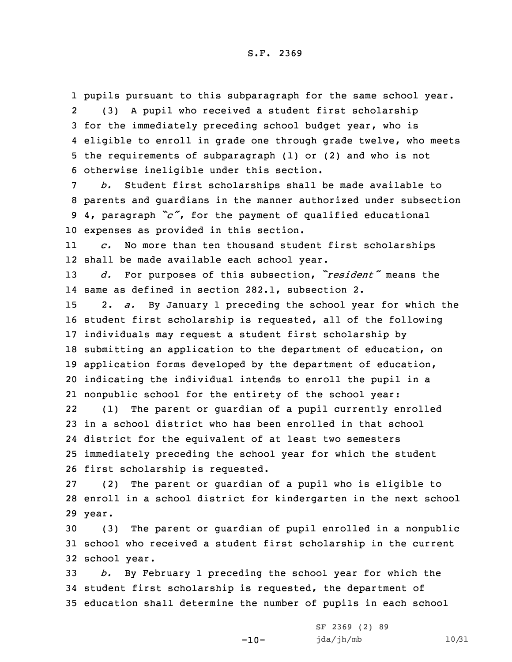pupils pursuant to this subparagraph for the same school year. 2 (3) <sup>A</sup> pupil who received <sup>a</sup> student first scholarship for the immediately preceding school budget year, who is eligible to enroll in grade one through grade twelve, who meets the requirements of subparagraph (1) or (2) and who is not otherwise ineligible under this section.

 *b.* Student first scholarships shall be made available to parents and guardians in the manner authorized under subsection 4, paragraph *"c"*, for the payment of qualified educational expenses as provided in this section.

11 *c.* No more than ten thousand student first scholarships 12 shall be made available each school year.

<sup>13</sup> *d.* For purposes of this subsection, *"resident"* means the 14 same as defined in section 282.1, subsection 2.

 2. *a.* By January 1 preceding the school year for which the student first scholarship is requested, all of the following individuals may request <sup>a</sup> student first scholarship by submitting an application to the department of education, on application forms developed by the department of education, indicating the individual intends to enroll the pupil in <sup>a</sup> nonpublic school for the entirety of the school year:

22 (1) The parent or guardian of <sup>a</sup> pupil currently enrolled in <sup>a</sup> school district who has been enrolled in that school district for the equivalent of at least two semesters immediately preceding the school year for which the student first scholarship is requested.

27 (2) The parent or guardian of <sup>a</sup> pupil who is eligible to 28 enroll in <sup>a</sup> school district for kindergarten in the next school 29 year.

30 (3) The parent or guardian of pupil enrolled in <sup>a</sup> nonpublic 31 school who received <sup>a</sup> student first scholarship in the current 32 school year.

33 *b.* By February 1 preceding the school year for which the 34 student first scholarship is requested, the department of 35 education shall determine the number of pupils in each school

-10-

SF 2369 (2) 89 jda/jh/mb 10/31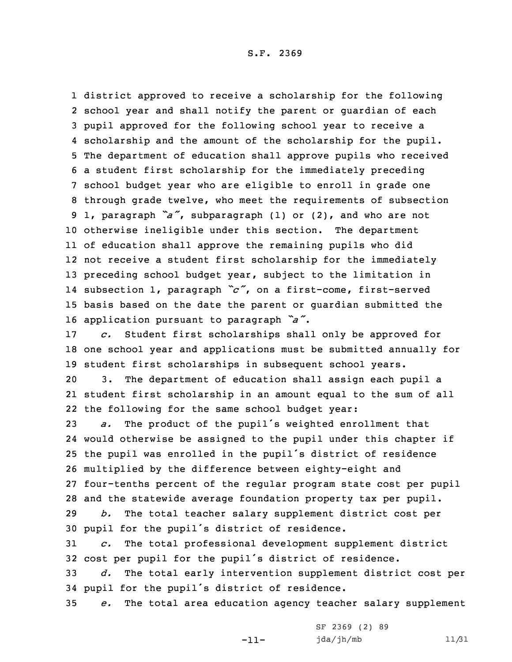district approved to receive <sup>a</sup> scholarship for the following school year and shall notify the parent or guardian of each pupil approved for the following school year to receive <sup>a</sup> scholarship and the amount of the scholarship for the pupil. The department of education shall approve pupils who received <sup>a</sup> student first scholarship for the immediately preceding school budget year who are eligible to enroll in grade one through grade twelve, who meet the requirements of subsection 1, paragraph *"a"*, subparagraph (1) or (2), and who are not otherwise ineligible under this section. The department of education shall approve the remaining pupils who did not receive <sup>a</sup> student first scholarship for the immediately preceding school budget year, subject to the limitation in subsection 1, paragraph *"c"*, on <sup>a</sup> first-come, first-served basis based on the date the parent or guardian submitted the application pursuant to paragraph *"a"*.

17 *c.* Student first scholarships shall only be approved for 18 one school year and applications must be submitted annually for 19 student first scholarships in subsequent school years.

20 3. The department of education shall assign each pupil <sup>a</sup> 21 student first scholarship in an amount equal to the sum of all 22 the following for the same school budget year:

 *a.* The product of the pupil's weighted enrollment that would otherwise be assigned to the pupil under this chapter if the pupil was enrolled in the pupil's district of residence multiplied by the difference between eighty-eight and four-tenths percent of the regular program state cost per pupil and the statewide average foundation property tax per pupil. *b.* The total teacher salary supplement district cost per pupil for the pupil's district of residence.

31 *c.* The total professional development supplement district <sup>32</sup> cost per pupil for the pupil's district of residence.

33 *d.* The total early intervention supplement district cost per <sup>34</sup> pupil for the pupil's district of residence.

35 *e.* The total area education agency teacher salary supplement

-11-

|  | SF 2369 (2) 89 |  |  |       |
|--|----------------|--|--|-------|
|  | jda/jh/mb      |  |  | 11/31 |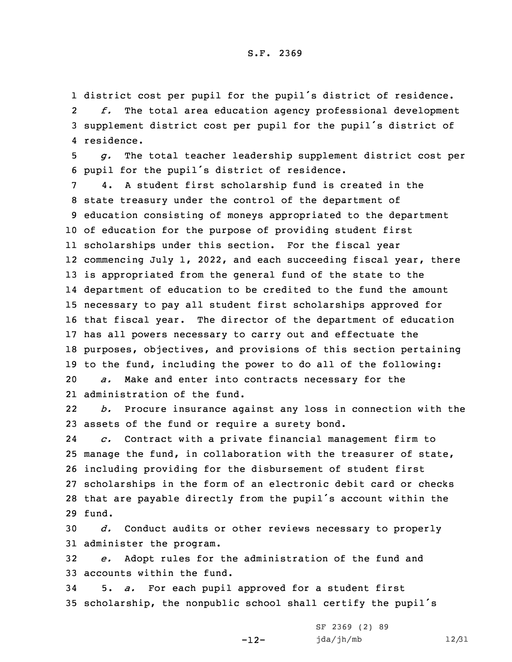1 district cost per pupil for the pupil's district of residence. 2 *f.* The total area education agency professional development <sup>3</sup> supplement district cost per pupil for the pupil's district of 4 residence.

5 *g.* The total teacher leadership supplement district cost per <sup>6</sup> pupil for the pupil's district of residence.

 4. <sup>A</sup> student first scholarship fund is created in the state treasury under the control of the department of education consisting of moneys appropriated to the department of education for the purpose of providing student first scholarships under this section. For the fiscal year commencing July 1, 2022, and each succeeding fiscal year, there is appropriated from the general fund of the state to the department of education to be credited to the fund the amount necessary to pay all student first scholarships approved for that fiscal year. The director of the department of education has all powers necessary to carry out and effectuate the purposes, objectives, and provisions of this section pertaining to the fund, including the power to do all of the following: *a.* Make and enter into contracts necessary for the administration of the fund.

22 *b.* Procure insurance against any loss in connection with the 23 assets of the fund or require <sup>a</sup> surety bond.

24 *c.* Contract with <sup>a</sup> private financial management firm to 25 manage the fund, in collaboration with the treasurer of state, 26 including providing for the disbursement of student first 27 scholarships in the form of an electronic debit card or checks <sup>28</sup> that are payable directly from the pupil's account within the 29 fund.

30 *d.* Conduct audits or other reviews necessary to properly 31 administer the program.

32 *e.* Adopt rules for the administration of the fund and 33 accounts within the fund.

34 5. *a.* For each pupil approved for <sup>a</sup> student first <sup>35</sup> scholarship, the nonpublic school shall certify the pupil's

-12-

SF 2369 (2) 89 jda/jh/mb 12/31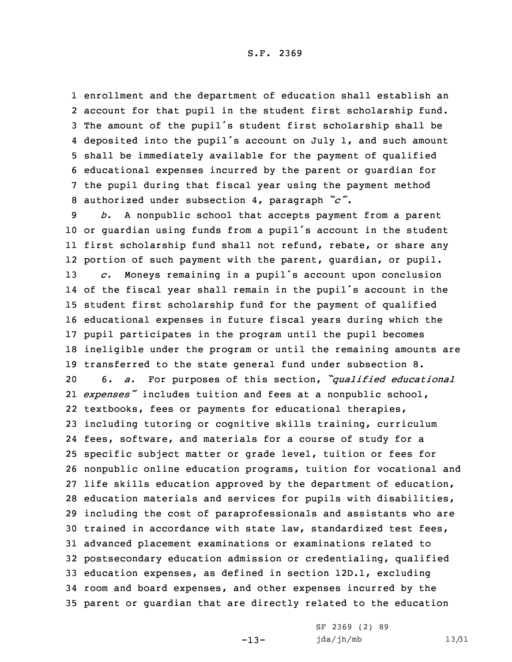enrollment and the department of education shall establish an account for that pupil in the student first scholarship fund. The amount of the pupil's student first scholarship shall be deposited into the pupil's account on July 1, and such amount shall be immediately available for the payment of qualified educational expenses incurred by the parent or guardian for the pupil during that fiscal year using the payment method authorized under subsection 4, paragraph *"c"*.

 *b.* <sup>A</sup> nonpublic school that accepts payment from <sup>a</sup> parent or guardian using funds from <sup>a</sup> pupil's account in the student first scholarship fund shall not refund, rebate, or share any portion of such payment with the parent, guardian, or pupil. *c.* Moneys remaining in <sup>a</sup> pupil's account upon conclusion of the fiscal year shall remain in the pupil's account in the student first scholarship fund for the payment of qualified educational expenses in future fiscal years during which the pupil participates in the program until the pupil becomes ineligible under the program or until the remaining amounts are transferred to the state general fund under subsection 8. 6. *a.* For purposes of this section, *"qualified educational expenses"* includes tuition and fees at <sup>a</sup> nonpublic school, textbooks, fees or payments for educational therapies, including tutoring or cognitive skills training, curriculum fees, software, and materials for <sup>a</sup> course of study for <sup>a</sup> specific subject matter or grade level, tuition or fees for nonpublic online education programs, tuition for vocational and life skills education approved by the department of education, education materials and services for pupils with disabilities, including the cost of paraprofessionals and assistants who are trained in accordance with state law, standardized test fees, advanced placement examinations or examinations related to postsecondary education admission or credentialing, qualified education expenses, as defined in section 12D.1, excluding room and board expenses, and other expenses incurred by the parent or guardian that are directly related to the education

-13-

SF 2369 (2) 89 jda/jh/mb 13/31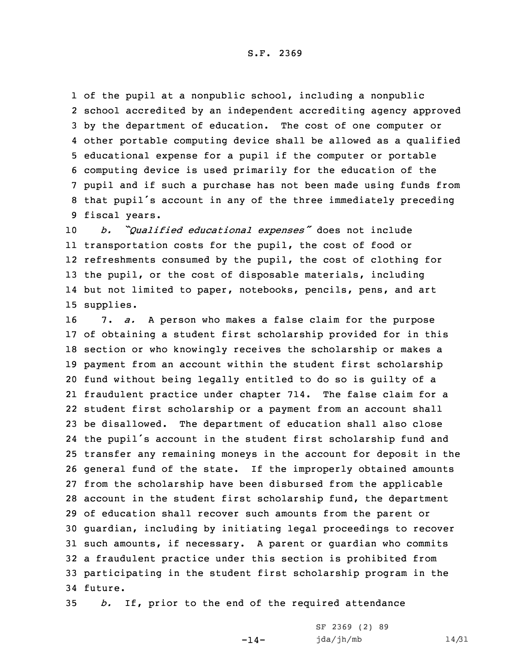of the pupil at <sup>a</sup> nonpublic school, including <sup>a</sup> nonpublic school accredited by an independent accrediting agency approved by the department of education. The cost of one computer or other portable computing device shall be allowed as <sup>a</sup> qualified educational expense for <sup>a</sup> pupil if the computer or portable computing device is used primarily for the education of the pupil and if such <sup>a</sup> purchase has not been made using funds from that pupil's account in any of the three immediately preceding fiscal years.

 *b. "Qualified educational expenses"* does not include transportation costs for the pupil, the cost of food or refreshments consumed by the pupil, the cost of clothing for the pupil, or the cost of disposable materials, including but not limited to paper, notebooks, pencils, pens, and art supplies.

 7. *a.* <sup>A</sup> person who makes <sup>a</sup> false claim for the purpose of obtaining <sup>a</sup> student first scholarship provided for in this section or who knowingly receives the scholarship or makes <sup>a</sup> payment from an account within the student first scholarship fund without being legally entitled to do so is guilty of <sup>a</sup> fraudulent practice under chapter 714. The false claim for <sup>a</sup> student first scholarship or <sup>a</sup> payment from an account shall be disallowed. The department of education shall also close the pupil's account in the student first scholarship fund and transfer any remaining moneys in the account for deposit in the general fund of the state. If the improperly obtained amounts from the scholarship have been disbursed from the applicable account in the student first scholarship fund, the department of education shall recover such amounts from the parent or guardian, including by initiating legal proceedings to recover such amounts, if necessary. <sup>A</sup> parent or guardian who commits <sup>a</sup> fraudulent practice under this section is prohibited from participating in the student first scholarship program in the 34 future.

35 *b.* If, prior to the end of the required attendance

 $-14-$ 

SF 2369 (2) 89 jda/jh/mb 14/31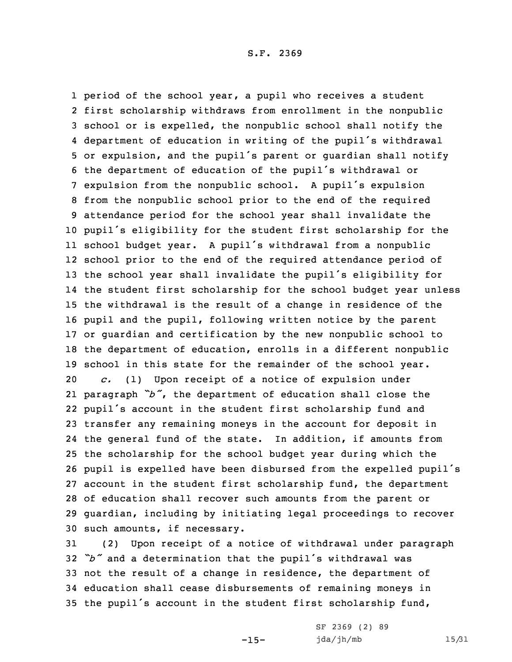period of the school year, <sup>a</sup> pupil who receives <sup>a</sup> student first scholarship withdraws from enrollment in the nonpublic school or is expelled, the nonpublic school shall notify the department of education in writing of the pupil's withdrawal or expulsion, and the pupil's parent or guardian shall notify the department of education of the pupil's withdrawal or expulsion from the nonpublic school. <sup>A</sup> pupil's expulsion from the nonpublic school prior to the end of the required attendance period for the school year shall invalidate the pupil's eligibility for the student first scholarship for the school budget year. <sup>A</sup> pupil's withdrawal from <sup>a</sup> nonpublic school prior to the end of the required attendance period of the school year shall invalidate the pupil's eligibility for the student first scholarship for the school budget year unless the withdrawal is the result of <sup>a</sup> change in residence of the pupil and the pupil, following written notice by the parent or guardian and certification by the new nonpublic school to the department of education, enrolls in <sup>a</sup> different nonpublic school in this state for the remainder of the school year. *c.* (1) Upon receipt of <sup>a</sup> notice of expulsion under paragraph *"b"*, the department of education shall close the pupil's account in the student first scholarship fund and transfer any remaining moneys in the account for deposit in the general fund of the state. In addition, if amounts from the scholarship for the school budget year during which the pupil is expelled have been disbursed from the expelled pupil's account in the student first scholarship fund, the department of education shall recover such amounts from the parent or guardian, including by initiating legal proceedings to recover such amounts, if necessary.

 (2) Upon receipt of <sup>a</sup> notice of withdrawal under paragraph *"b"* and <sup>a</sup> determination that the pupil's withdrawal was not the result of <sup>a</sup> change in residence, the department of education shall cease disbursements of remaining moneys in the pupil's account in the student first scholarship fund,

 $-15-$ 

SF 2369 (2) 89 jda/jh/mb 15/31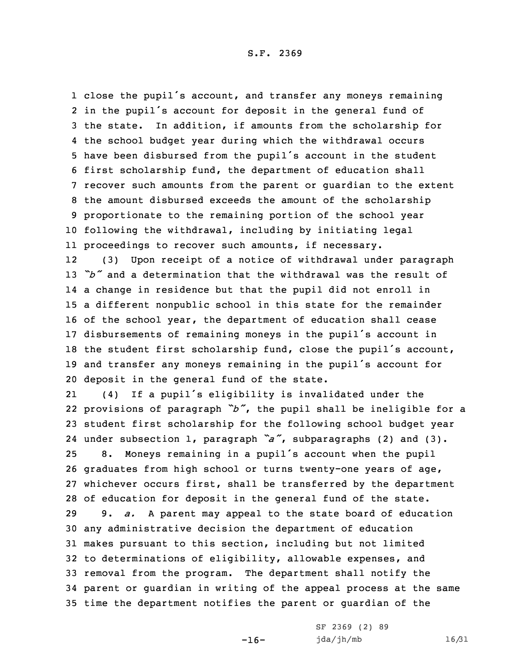close the pupil's account, and transfer any moneys remaining in the pupil's account for deposit in the general fund of the state. In addition, if amounts from the scholarship for the school budget year during which the withdrawal occurs have been disbursed from the pupil's account in the student first scholarship fund, the department of education shall recover such amounts from the parent or guardian to the extent the amount disbursed exceeds the amount of the scholarship proportionate to the remaining portion of the school year following the withdrawal, including by initiating legal proceedings to recover such amounts, if necessary. 12 (3) Upon receipt of <sup>a</sup> notice of withdrawal under paragraph *"b"* and <sup>a</sup> determination that the withdrawal was the result of

 <sup>a</sup> change in residence but that the pupil did not enroll in <sup>a</sup> different nonpublic school in this state for the remainder of the school year, the department of education shall cease disbursements of remaining moneys in the pupil's account in the student first scholarship fund, close the pupil's account, and transfer any moneys remaining in the pupil's account for deposit in the general fund of the state.

21 (4) If <sup>a</sup> pupil's eligibility is invalidated under the provisions of paragraph *"b"*, the pupil shall be ineligible for <sup>a</sup> student first scholarship for the following school budget year under subsection 1, paragraph *"a"*, subparagraphs (2) and (3). 8. Moneys remaining in <sup>a</sup> pupil's account when the pupil graduates from high school or turns twenty-one years of age, whichever occurs first, shall be transferred by the department of education for deposit in the general fund of the state. 9. *a.* <sup>A</sup> parent may appeal to the state board of education any administrative decision the department of education makes pursuant to this section, including but not limited to determinations of eligibility, allowable expenses, and removal from the program. The department shall notify the parent or guardian in writing of the appeal process at the same time the department notifies the parent or guardian of the

-16-

SF 2369 (2) 89 jda/jh/mb 16/31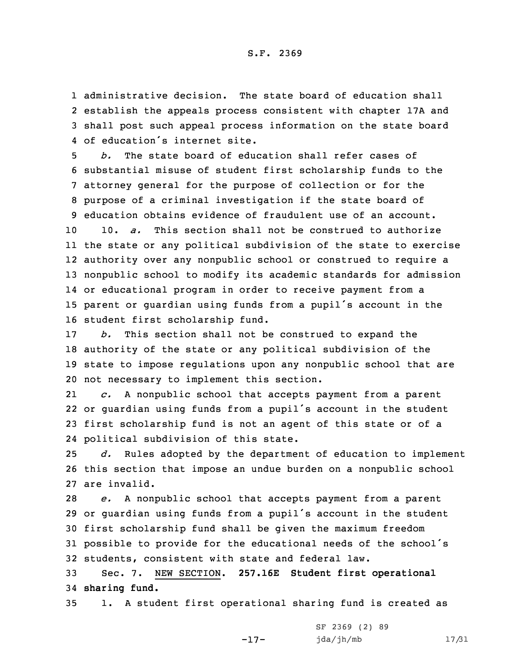administrative decision. The state board of education shall establish the appeals process consistent with chapter 17A and shall post such appeal process information on the state board of education's internet site.

 *b.* The state board of education shall refer cases of substantial misuse of student first scholarship funds to the attorney general for the purpose of collection or for the purpose of <sup>a</sup> criminal investigation if the state board of education obtains evidence of fraudulent use of an account. 10. *a.* This section shall not be construed to authorize the state or any political subdivision of the state to exercise authority over any nonpublic school or construed to require <sup>a</sup> nonpublic school to modify its academic standards for admission or educational program in order to receive payment from <sup>a</sup> parent or guardian using funds from <sup>a</sup> pupil's account in the student first scholarship fund.

 *b.* This section shall not be construed to expand the authority of the state or any political subdivision of the state to impose regulations upon any nonpublic school that are not necessary to implement this section.

21 *c.* <sup>A</sup> nonpublic school that accepts payment from <sup>a</sup> parent 22 or guardian using funds from <sup>a</sup> pupil's account in the student 23 first scholarship fund is not an agent of this state or of <sup>a</sup> 24 political subdivision of this state.

25 *d.* Rules adopted by the department of education to implement 26 this section that impose an undue burden on <sup>a</sup> nonpublic school 27 are invalid.

 *e.* <sup>A</sup> nonpublic school that accepts payment from <sup>a</sup> parent or guardian using funds from <sup>a</sup> pupil's account in the student first scholarship fund shall be given the maximum freedom possible to provide for the educational needs of the school's students, consistent with state and federal law.

33 Sec. 7. NEW SECTION. **257.16E Student first operational** 34 **sharing fund.**

35 1. <sup>A</sup> student first operational sharing fund is created as

-17-

SF 2369 (2) 89 jda/jh/mb 17/31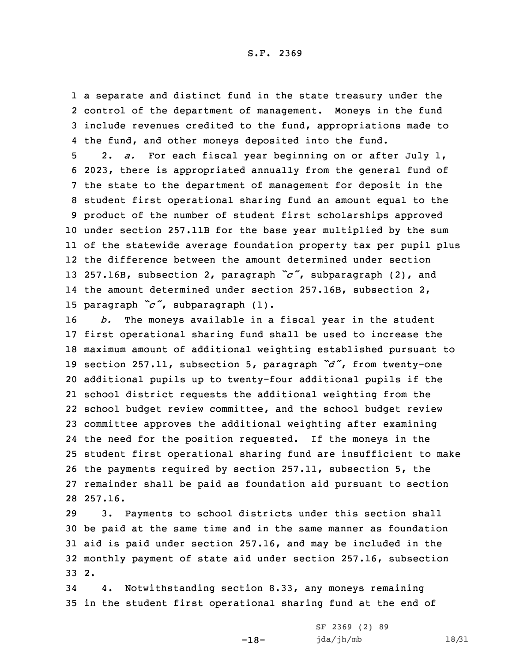<sup>a</sup> separate and distinct fund in the state treasury under the control of the department of management. Moneys in the fund include revenues credited to the fund, appropriations made to the fund, and other moneys deposited into the fund.

 2. *a.* For each fiscal year beginning on or after July 1, 2023, there is appropriated annually from the general fund of the state to the department of management for deposit in the student first operational sharing fund an amount equal to the product of the number of student first scholarships approved under section 257.11B for the base year multiplied by the sum of the statewide average foundation property tax per pupil plus the difference between the amount determined under section 257.16B, subsection 2, paragraph *"c"*, subparagraph (2), and the amount determined under section 257.16B, subsection 2, paragraph *"c"*, subparagraph (1).

 *b.* The moneys available in <sup>a</sup> fiscal year in the student first operational sharing fund shall be used to increase the maximum amount of additional weighting established pursuant to section 257.11, subsection 5, paragraph *"d"*, from twenty-one additional pupils up to twenty-four additional pupils if the school district requests the additional weighting from the school budget review committee, and the school budget review committee approves the additional weighting after examining the need for the position requested. If the moneys in the student first operational sharing fund are insufficient to make the payments required by section 257.11, subsection 5, the remainder shall be paid as foundation aid pursuant to section 28 257.16.

 3. Payments to school districts under this section shall be paid at the same time and in the same manner as foundation aid is paid under section 257.16, and may be included in the monthly payment of state aid under section 257.16, subsection 33 2.

34 4. Notwithstanding section 8.33, any moneys remaining 35 in the student first operational sharing fund at the end of

-18-

SF 2369 (2) 89 jda/jh/mb 18/31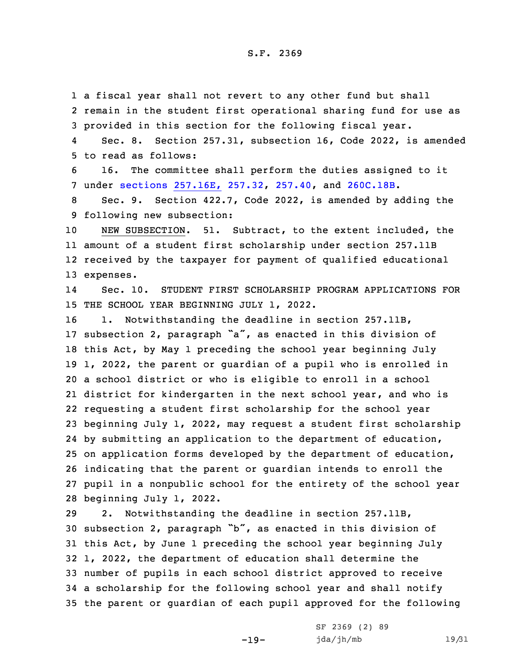<sup>a</sup> fiscal year shall not revert to any other fund but shall remain in the student first operational sharing fund for use as provided in this section for the following fiscal year. 4 Sec. 8. Section 257.31, subsection 16, Code 2022, is amended to read as follows: 16. The committee shall perform the duties assigned to it under sections [257.16E,](https://www.legis.iowa.gov/docs/code/2022/257.32.pdf) 257.32, [257.40](https://www.legis.iowa.gov/docs/code/2022/257.40.pdf), and [260C.18B](https://www.legis.iowa.gov/docs/code/2022/260C.18B.pdf). Sec. 9. Section 422.7, Code 2022, is amended by adding the following new subsection: NEW SUBSECTION. 51. Subtract, to the extent included, the amount of <sup>a</sup> student first scholarship under section 257.11B received by the taxpayer for payment of qualified educational expenses. 14 Sec. 10. STUDENT FIRST SCHOLARSHIP PROGRAM APPLICATIONS FOR THE SCHOOL YEAR BEGINNING JULY 1, 2022. 16 1. Notwithstanding the deadline in section 257.11B, subsection 2, paragraph "a", as enacted in this division of this Act, by May 1 preceding the school year beginning July 1, 2022, the parent or guardian of <sup>a</sup> pupil who is enrolled in <sup>a</sup> school district or who is eligible to enroll in <sup>a</sup> school district for kindergarten in the next school year, and who is requesting <sup>a</sup> student first scholarship for the school year beginning July 1, 2022, may request <sup>a</sup> student first scholarship by submitting an application to the department of education, on application forms developed by the department of education, indicating that the parent or guardian intends to enroll the pupil in <sup>a</sup> nonpublic school for the entirety of the school year beginning July 1, 2022. 2. Notwithstanding the deadline in section 257.11B, subsection 2, paragraph "b", as enacted in this division of

 this Act, by June 1 preceding the school year beginning July 1, 2022, the department of education shall determine the number of pupils in each school district approved to receive <sup>a</sup> scholarship for the following school year and shall notify the parent or guardian of each pupil approved for the following

-19-

SF 2369 (2) 89 jda/jh/mb 19/31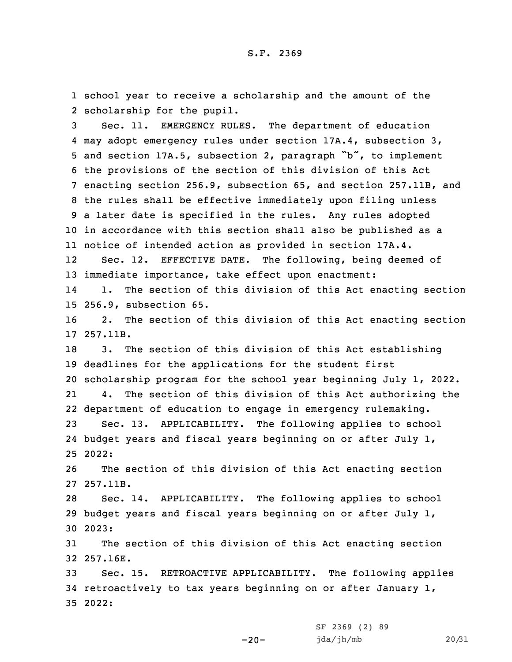1 school year to receive <sup>a</sup> scholarship and the amount of the 2 scholarship for the pupil.

 Sec. 11. EMERGENCY RULES. The department of education may adopt emergency rules under section 17A.4, subsection 3, and section 17A.5, subsection 2, paragraph "b", to implement the provisions of the section of this division of this Act enacting section 256.9, subsection 65, and section 257.11B, and the rules shall be effective immediately upon filing unless <sup>a</sup> later date is specified in the rules. Any rules adopted in accordance with this section shall also be published as <sup>a</sup> notice of intended action as provided in section 17A.4. 12 Sec. 12. EFFECTIVE DATE. The following, being deemed of immediate importance, take effect upon enactment: 14 1. The section of this division of this Act enacting section 256.9, subsection 65. 2. The section of this division of this Act enacting section 17 257.11B.

 3. The section of this division of this Act establishing deadlines for the applications for the student first scholarship program for the school year beginning July 1, 2022. 21 4. The section of this division of this Act authorizing the department of education to engage in emergency rulemaking. Sec. 13. APPLICABILITY. The following applies to school budget years and fiscal years beginning on or after July 1, 25 2022:

26 The section of this division of this Act enacting section 27 257.11B.

28 Sec. 14. APPLICABILITY. The following applies to school 29 budget years and fiscal years beginning on or after July 1, 30 2023:

31 The section of this division of this Act enacting section 32 257.16E.

33 Sec. 15. RETROACTIVE APPLICABILITY. The following applies 34 retroactively to tax years beginning on or after January  $1$ , 35 2022:

 $-20-$ 

SF 2369 (2) 89 jda/jh/mb 20/31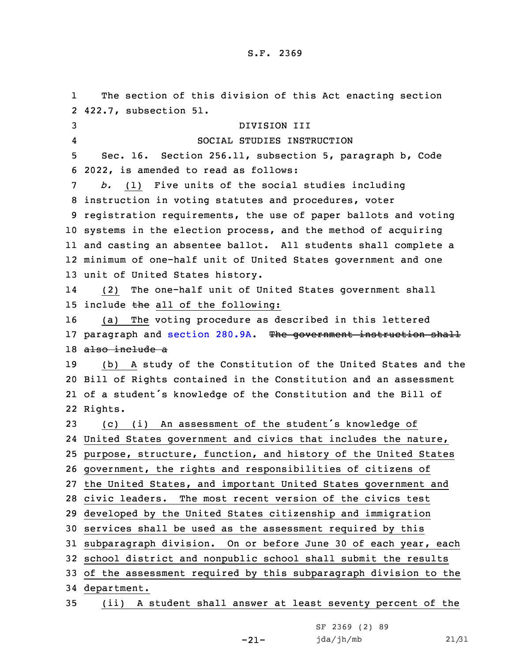1 The section of this division of this Act enacting section 422.7, subsection 51. DIVISION III 4 SOCIAL STUDIES INSTRUCTION Sec. 16. Section 256.11, subsection 5, paragraph b, Code 2022, is amended to read as follows: *b.* (1) Five units of the social studies including instruction in voting statutes and procedures, voter registration requirements, the use of paper ballots and voting systems in the election process, and the method of acquiring and casting an absentee ballot. All students shall complete <sup>a</sup> minimum of one-half unit of United States government and one unit of United States history. 14 (2) The one-half unit of United States government shall 15 include the all of the following: (a) The voting procedure as described in this lettered 17 paragraph and [section](https://www.legis.iowa.gov/docs/code/2022/280.9A.pdf) 280.9A. The government instruction shall also include <sup>a</sup> (b) <sup>A</sup> study of the Constitution of the United States and the Bill of Rights contained in the Constitution and an assessment of <sup>a</sup> student's knowledge of the Constitution and the Bill of 22 Rights. (c) (i) An assessment of the student's knowledge of United States government and civics that includes the nature, purpose, structure, function, and history of the United States government, the rights and responsibilities of citizens of the United States, and important United States government and civic leaders. The most recent version of the civics test developed by the United States citizenship and immigration services shall be used as the assessment required by this subparagraph division. On or before June 30 of each year, each school district and nonpublic school shall submit the results of the assessment required by this subparagraph division to the department.

35 (ii) <sup>A</sup> student shall answer at least seventy percent of the

-21-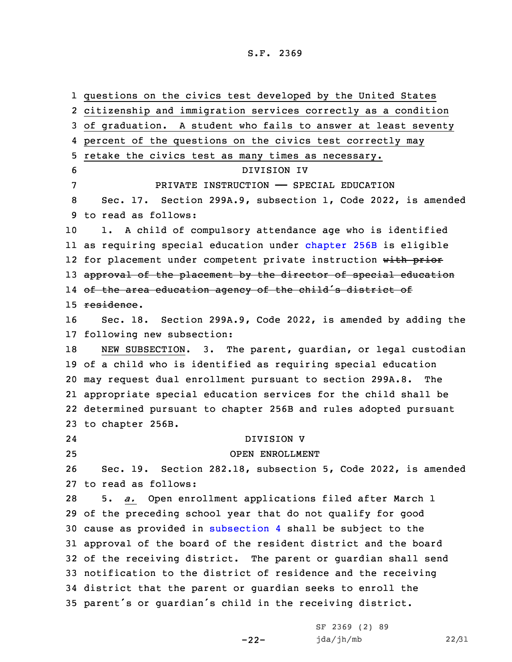questions on the civics test developed by the United States citizenship and immigration services correctly as <sup>a</sup> condition of graduation. <sup>A</sup> student who fails to answer at least seventy percent of the questions on the civics test correctly may retake the civics test as many times as necessary. DIVISION IV PRIVATE INSTRUCTION —— SPECIAL EDUCATION Sec. 17. Section 299A.9, subsection 1, Code 2022, is amended to read as follows: 1. <sup>A</sup> child of compulsory attendance age who is identified as requiring special education under [chapter](https://www.legis.iowa.gov/docs/code/2022/256B.pdf) 256B is eligible 12 for placement under competent private instruction with prior 13 approval of the placement by the director of special education of the area education agency of the child's district of residence. Sec. 18. Section 299A.9, Code 2022, is amended by adding the following new subsection: 18 NEW SUBSECTION. 3. The parent, quardian, or legal custodian of <sup>a</sup> child who is identified as requiring special education may request dual enrollment pursuant to section 299A.8. The appropriate special education services for the child shall be determined pursuant to chapter 256B and rules adopted pursuant to chapter 256B. 24 DIVISION V OPEN ENROLLMENT Sec. 19. Section 282.18, subsection 5, Code 2022, is amended to read as follows: 5. *a.* Open enrollment applications filed after March 1 of the preceding school year that do not qualify for good cause as provided in [subsection](https://www.legis.iowa.gov/docs/code/2022/282.18.pdf) 4 shall be subject to the approval of the board of the resident district and the board of the receiving district. The parent or guardian shall send notification to the district of residence and the receiving district that the parent or guardian seeks to enroll the parent's or guardian's child in the receiving district.

-22-

SF 2369 (2) 89 jda/jh/mb 22/31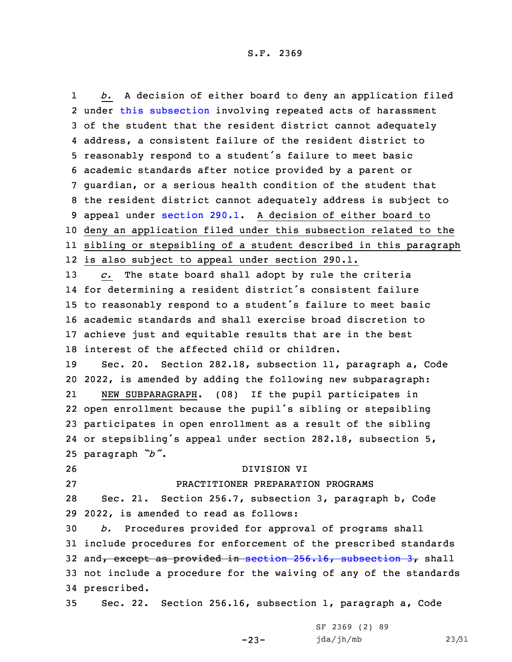1 *b.* <sup>A</sup> decision of either board to deny an application filed under this [subsection](https://www.legis.iowa.gov/docs/code/2022/282.18.pdf) involving repeated acts of harassment of the student that the resident district cannot adequately address, <sup>a</sup> consistent failure of the resident district to reasonably respond to <sup>a</sup> student's failure to meet basic academic standards after notice provided by <sup>a</sup> parent or guardian, or <sup>a</sup> serious health condition of the student that the resident district cannot adequately address is subject to appeal under [section](https://www.legis.iowa.gov/docs/code/2022/290.1.pdf) 290.1. <sup>A</sup> decision of either board to deny an application filed under this subsection related to the sibling or stepsibling of <sup>a</sup> student described in this paragraph is also subject to appeal under section 290.1. *c.* The state board shall adopt by rule the criteria for determining <sup>a</sup> resident district's consistent failure to reasonably respond to <sup>a</sup> student's failure to meet basic academic standards and shall exercise broad discretion to achieve just and equitable results that are in the best interest of the affected child or children. Sec. 20. Section 282.18, subsection 11, paragraph a, Code 2022, is amended by adding the following new subparagraph: 21 NEW SUBPARAGRAPH. (08) If the pupil participates in open enrollment because the pupil's sibling or stepsibling participates in open enrollment as <sup>a</sup> result of the sibling or stepsibling's appeal under section 282.18, subsection 5, paragraph *"b"*. DIVISION VI PRACTITIONER PREPARATION PROGRAMS Sec. 21. Section 256.7, subsection 3, paragraph b, Code 2022, is amended to read as follows: *b.* Procedures provided for approval of programs shall include procedures for enforcement of the prescribed standards 32 and, except as provided in section  $256.16$ , [subsection](https://www.legis.iowa.gov/docs/code/2022/256.16.pdf)  $37$  shall not include <sup>a</sup> procedure for the waiving of any of the standards prescribed. Sec. 22. Section 256.16, subsection 1, paragraph a, Code

-23-

SF 2369 (2) 89 jda/jh/mb 23/31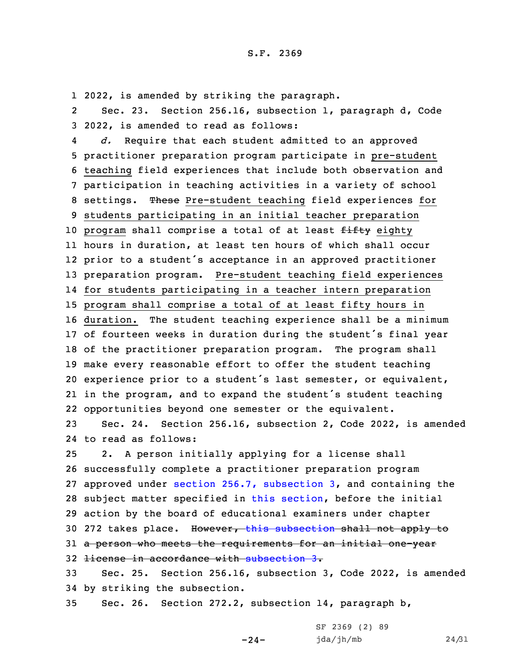1 2022, is amended by striking the paragraph.

2 Sec. 23. Section 256.16, subsection 1, paragraph d, Code 3 2022, is amended to read as follows:

4 *d.* Require that each student admitted to an approved practitioner preparation program participate in pre-student teaching field experiences that include both observation and participation in teaching activities in <sup>a</sup> variety of school settings. These Pre-student teaching field experiences for students participating in an initial teacher preparation 10 program shall comprise a total of at least fifty eighty hours in duration, at least ten hours of which shall occur prior to <sup>a</sup> student's acceptance in an approved practitioner preparation program. Pre-student teaching field experiences for students participating in <sup>a</sup> teacher intern preparation program shall comprise <sup>a</sup> total of at least fifty hours in duration. The student teaching experience shall be <sup>a</sup> minimum of fourteen weeks in duration during the student's final year of the practitioner preparation program. The program shall make every reasonable effort to offer the student teaching experience prior to <sup>a</sup> student's last semester, or equivalent, in the program, and to expand the student's student teaching opportunities beyond one semester or the equivalent.

23 Sec. 24. Section 256.16, subsection 2, Code 2022, is amended 24 to read as follows:

 2. <sup>A</sup> person initially applying for <sup>a</sup> license shall successfully complete <sup>a</sup> practitioner preparation program approved under section 256.7, [subsection](https://www.legis.iowa.gov/docs/code/2022/256.7.pdf) 3, and containing the subject matter specified in this [section](https://www.legis.iowa.gov/docs/code/2022/256.16.pdf), before the initial action by the board of educational examiners under chapter 30 272 takes place. However, this [subsection](https://www.legis.iowa.gov/docs/code/2022/256.16.pdf) shall not apply to 31 a person who meets the requirements for an initial one-year license in accordance with [subsection](https://www.legis.iowa.gov/docs/code/2022/256.16.pdf) 3.

33 Sec. 25. Section 256.16, subsection 3, Code 2022, is amended 34 by striking the subsection.

-24-

35 Sec. 26. Section 272.2, subsection 14, paragraph b,

SF 2369 (2) 89 jda/jh/mb 24/31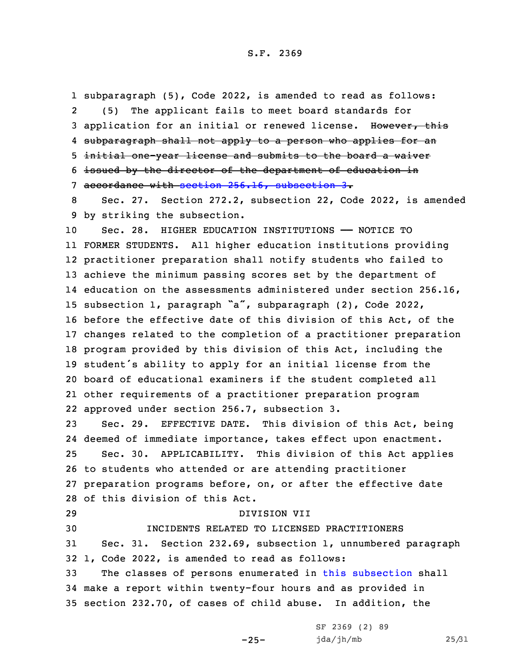subparagraph (5), Code 2022, is amended to read as follows: 2 (5) The applicant fails to meet board standards for 3 application for an initial or renewed license. However, this subparagraph shall not apply to <sup>a</sup> person who applies for an initial one-year license and submits to the board <sup>a</sup> waiver issued by the director of the department of education in accordance with section 256.16, [subsection](https://www.legis.iowa.gov/docs/code/2022/256.16.pdf) 3.

8 Sec. 27. Section 272.2, subsection 22, Code 2022, is amended 9 by striking the subsection.

 Sec. 28. HIGHER EDUCATION INSTITUTIONS —— NOTICE TO FORMER STUDENTS. All higher education institutions providing practitioner preparation shall notify students who failed to achieve the minimum passing scores set by the department of education on the assessments administered under section 256.16, subsection 1, paragraph "a", subparagraph (2), Code 2022, before the effective date of this division of this Act, of the changes related to the completion of <sup>a</sup> practitioner preparation program provided by this division of this Act, including the student's ability to apply for an initial license from the board of educational examiners if the student completed all other requirements of <sup>a</sup> practitioner preparation program approved under section 256.7, subsection 3.

 Sec. 29. EFFECTIVE DATE. This division of this Act, being deemed of immediate importance, takes effect upon enactment. Sec. 30. APPLICABILITY. This division of this Act applies to students who attended or are attending practitioner preparation programs before, on, or after the effective date of this division of this Act.

 DIVISION VII INCIDENTS RELATED TO LICENSED PRACTITIONERS Sec. 31. Section 232.69, subsection 1, unnumbered paragraph 1, Code 2022, is amended to read as follows: The classes of persons enumerated in this [subsection](https://www.legis.iowa.gov/docs/code/2022/232.69.pdf) shall

34 make <sup>a</sup> report within twenty-four hours and as provided in 35 section 232.70, of cases of child abuse. In addition, the

-25-

SF 2369 (2) 89 jda/jh/mb 25/31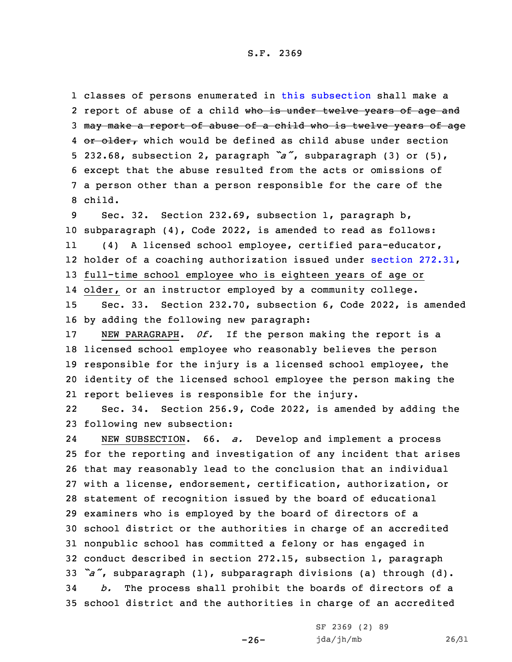classes of persons enumerated in this [subsection](https://www.legis.iowa.gov/docs/code/2022/232.69.pdf) shall make <sup>a</sup> 2 report of abuse of a child <del>who is under twelve years of age and</del> may make <sup>a</sup> report of abuse of <sup>a</sup> child who is twelve years of age 4 or older, which would be defined as child abuse under section 232.68, subsection 2, paragraph *"a"*, subparagraph (3) or (5), except that the abuse resulted from the acts or omissions of <sup>a</sup> person other than <sup>a</sup> person responsible for the care of the 8 child.

 Sec. 32. Section 232.69, subsection 1, paragraph b, subparagraph (4), Code 2022, is amended to read as follows: 11 (4) <sup>A</sup> licensed school employee, certified para-educator, holder of <sup>a</sup> coaching authorization issued under section [272.31](https://www.legis.iowa.gov/docs/code/2022/272.31.pdf), full-time school employee who is eighteen years of age or older, or an instructor employed by <sup>a</sup> community college. Sec. 33. Section 232.70, subsection 6, Code 2022, is amended by adding the following new paragraph:

 NEW PARAGRAPH. *0f.* If the person making the report is <sup>a</sup> licensed school employee who reasonably believes the person responsible for the injury is <sup>a</sup> licensed school employee, the identity of the licensed school employee the person making the report believes is responsible for the injury.

22 Sec. 34. Section 256.9, Code 2022, is amended by adding the 23 following new subsection:

24 NEW SUBSECTION. 66. *a.* Develop and implement <sup>a</sup> process for the reporting and investigation of any incident that arises that may reasonably lead to the conclusion that an individual with <sup>a</sup> license, endorsement, certification, authorization, or statement of recognition issued by the board of educational examiners who is employed by the board of directors of <sup>a</sup> school district or the authorities in charge of an accredited nonpublic school has committed <sup>a</sup> felony or has engaged in conduct described in section 272.15, subsection 1, paragraph *"a"*, subparagraph (1), subparagraph divisions (a) through (d). *b.* The process shall prohibit the boards of directors of <sup>a</sup> school district and the authorities in charge of an accredited

 $-26-$ 

SF 2369 (2) 89 jda/jh/mb 26/31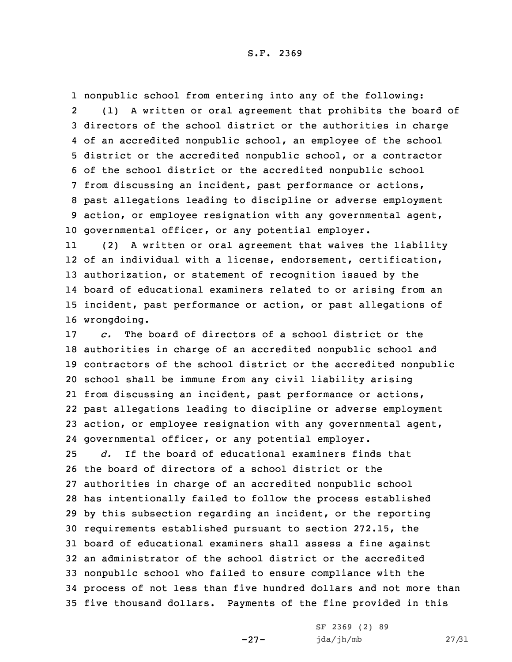nonpublic school from entering into any of the following: 2 (1) <sup>A</sup> written or oral agreement that prohibits the board of directors of the school district or the authorities in charge of an accredited nonpublic school, an employee of the school district or the accredited nonpublic school, or <sup>a</sup> contractor of the school district or the accredited nonpublic school from discussing an incident, past performance or actions, past allegations leading to discipline or adverse employment action, or employee resignation with any governmental agent, governmental officer, or any potential employer.

11 (2) <sup>A</sup> written or oral agreement that waives the liability of an individual with <sup>a</sup> license, endorsement, certification, authorization, or statement of recognition issued by the board of educational examiners related to or arising from an incident, past performance or action, or past allegations of wrongdoing.

 *c.* The board of directors of <sup>a</sup> school district or the authorities in charge of an accredited nonpublic school and contractors of the school district or the accredited nonpublic school shall be immune from any civil liability arising from discussing an incident, past performance or actions, past allegations leading to discipline or adverse employment action, or employee resignation with any governmental agent, governmental officer, or any potential employer.

 *d.* If the board of educational examiners finds that the board of directors of <sup>a</sup> school district or the authorities in charge of an accredited nonpublic school has intentionally failed to follow the process established by this subsection regarding an incident, or the reporting requirements established pursuant to section 272.15, the board of educational examiners shall assess <sup>a</sup> fine against an administrator of the school district or the accredited nonpublic school who failed to ensure compliance with the process of not less than five hundred dollars and not more than five thousand dollars. Payments of the fine provided in this

-27-

SF 2369 (2) 89 jda/jh/mb 27/31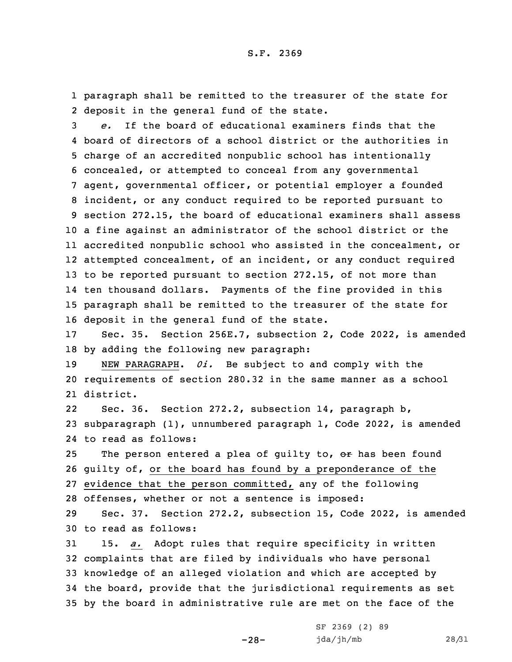1 paragraph shall be remitted to the treasurer of the state for 2 deposit in the general fund of the state.

 *e.* If the board of educational examiners finds that the board of directors of <sup>a</sup> school district or the authorities in charge of an accredited nonpublic school has intentionally concealed, or attempted to conceal from any governmental agent, governmental officer, or potential employer <sup>a</sup> founded incident, or any conduct required to be reported pursuant to section 272.15, the board of educational examiners shall assess <sup>a</sup> fine against an administrator of the school district or the accredited nonpublic school who assisted in the concealment, or attempted concealment, of an incident, or any conduct required to be reported pursuant to section 272.15, of not more than ten thousand dollars. Payments of the fine provided in this paragraph shall be remitted to the treasurer of the state for deposit in the general fund of the state.

17 Sec. 35. Section 256E.7, subsection 2, Code 2022, is amended 18 by adding the following new paragraph:

19 NEW PARAGRAPH. *0i.* Be subject to and comply with the 20 requirements of section 280.32 in the same manner as <sup>a</sup> school 21 district.

22 Sec. 36. Section 272.2, subsection 14, paragraph b, 23 subparagraph (1), unnumbered paragraph 1, Code 2022, is amended 24 to read as follows:

25 The person entered a plea of guilty to, or has been found guilty of, or the board has found by <sup>a</sup> preponderance of the evidence that the person committed, any of the following offenses, whether or not <sup>a</sup> sentence is imposed:

29 Sec. 37. Section 272.2, subsection 15, Code 2022, is amended 30 to read as follows:

 15. *a.* Adopt rules that require specificity in written complaints that are filed by individuals who have personal knowledge of an alleged violation and which are accepted by the board, provide that the jurisdictional requirements as set by the board in administrative rule are met on the face of the

-28-

SF 2369 (2) 89 jda/jh/mb 28/31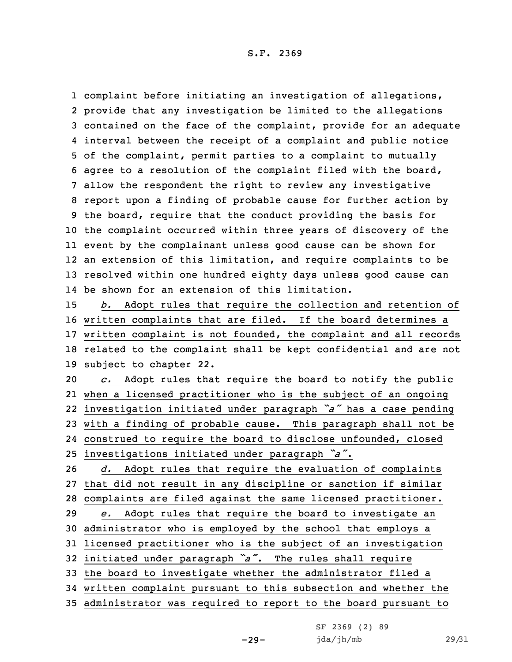complaint before initiating an investigation of allegations, provide that any investigation be limited to the allegations contained on the face of the complaint, provide for an adequate interval between the receipt of <sup>a</sup> complaint and public notice of the complaint, permit parties to <sup>a</sup> complaint to mutually agree to <sup>a</sup> resolution of the complaint filed with the board, allow the respondent the right to review any investigative report upon <sup>a</sup> finding of probable cause for further action by the board, require that the conduct providing the basis for the complaint occurred within three years of discovery of the event by the complainant unless good cause can be shown for an extension of this limitation, and require complaints to be resolved within one hundred eighty days unless good cause can be shown for an extension of this limitation.

 *b.* Adopt rules that require the collection and retention of written complaints that are filed. If the board determines <sup>a</sup> written complaint is not founded, the complaint and all records related to the complaint shall be kept confidential and are not subject to chapter 22.

 *c.* Adopt rules that require the board to notify the public when <sup>a</sup> licensed practitioner who is the subject of an ongoing investigation initiated under paragraph *"a"* has <sup>a</sup> case pending with <sup>a</sup> finding of probable cause. This paragraph shall not be construed to require the board to disclose unfounded, closed investigations initiated under paragraph *"a"*.

 *d.* Adopt rules that require the evaluation of complaints that did not result in any discipline or sanction if similar complaints are filed against the same licensed practitioner. *e.* Adopt rules that require the board to investigate an administrator who is employed by the school that employs <sup>a</sup> licensed practitioner who is the subject of an investigation initiated under paragraph *"a"*. The rules shall require the board to investigate whether the administrator filed <sup>a</sup> written complaint pursuant to this subsection and whether the administrator was required to report to the board pursuant to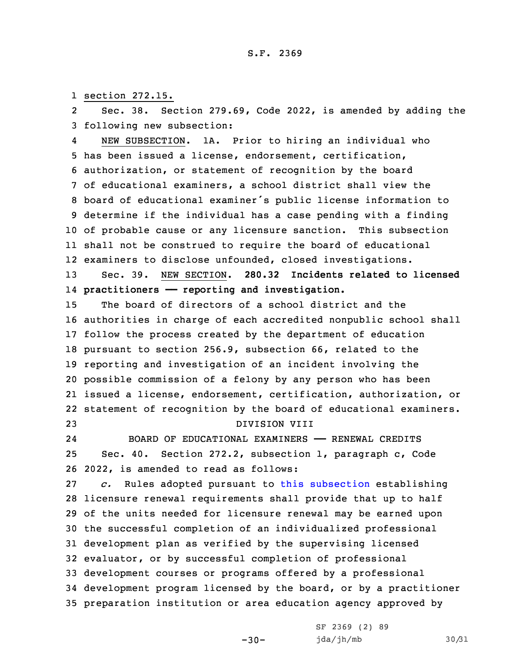1 section 272.15.

2 Sec. 38. Section 279.69, Code 2022, is amended by adding the 3 following new subsection:

4 NEW SUBSECTION. 1A. Prior to hiring an individual who has been issued <sup>a</sup> license, endorsement, certification, authorization, or statement of recognition by the board of educational examiners, <sup>a</sup> school district shall view the board of educational examiner's public license information to determine if the individual has <sup>a</sup> case pending with <sup>a</sup> finding of probable cause or any licensure sanction. This subsection shall not be construed to require the board of educational examiners to disclose unfounded, closed investigations.

13 Sec. 39. NEW SECTION. **280.32 Incidents related to licensed** 14 **practitioners —— reporting and investigation.**

 The board of directors of <sup>a</sup> school district and the authorities in charge of each accredited nonpublic school shall follow the process created by the department of education pursuant to section 256.9, subsection 66, related to the reporting and investigation of an incident involving the possible commission of <sup>a</sup> felony by any person who has been issued <sup>a</sup> license, endorsement, certification, authorization, or statement of recognition by the board of educational examiners. DIVISION VIII

24

 BOARD OF EDUCATIONAL EXAMINERS —— RENEWAL CREDITS 25 Sec. 40. Section 272.2, subsection 1, paragraph c, Code 26 2022, is amended to read as follows:

 *c.* Rules adopted pursuant to this [subsection](https://www.legis.iowa.gov/docs/code/2022/272.2.pdf) establishing licensure renewal requirements shall provide that up to half of the units needed for licensure renewal may be earned upon the successful completion of an individualized professional development plan as verified by the supervising licensed evaluator, or by successful completion of professional development courses or programs offered by <sup>a</sup> professional development program licensed by the board, or by <sup>a</sup> practitioner preparation institution or area education agency approved by

 $-30-$ 

SF 2369 (2) 89 jda/jh/mb 30/31